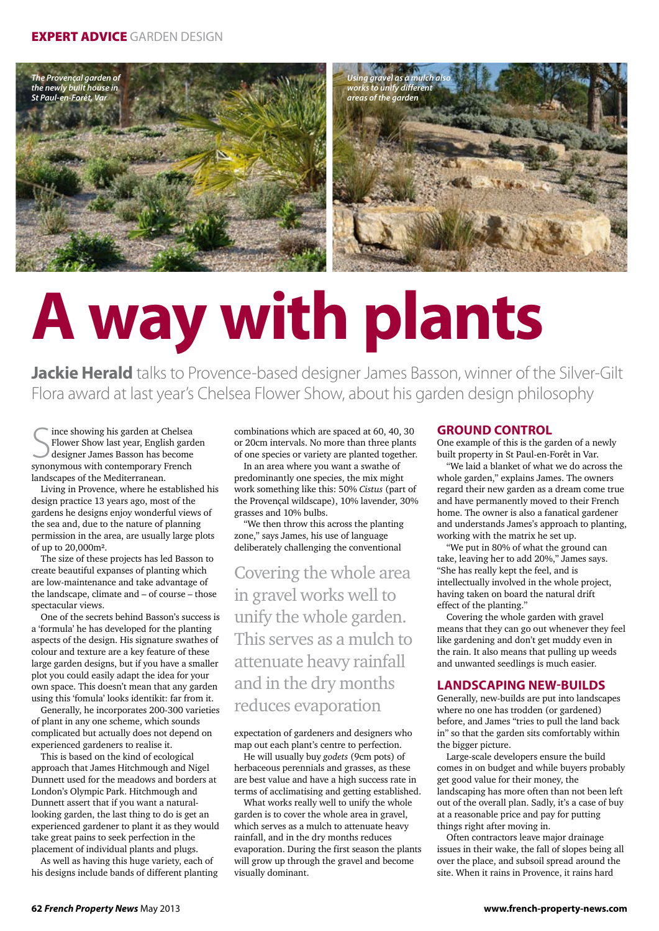

# **A way with plants**

**Jackie Herald** talks to Provence-based designer James Basson, winner of the Silver-Gilt Flora award at last year's Chelsea Flower Show, about his garden design philosophy

S synonymous with contemporary French ince showing his garden at Chelsea Flower Show last year, English garden designer James Basson has become landscapes of the Mediterranean.

Living in Provence, where he established his design practice 13 years ago, most of the gardens he designs enjoy wonderful views of the sea and, due to the nature of planning permission in the area, are usually large plots of up to 20,000m².

The size of these projects has led Basson to create beautiful expanses of planting which are low-maintenance and take advantage of the landscape, climate and – of course – those spectacular views.

One of the secrets behind Basson's success is a 'formula' he has developed for the planting aspects of the design. His signature swathes of colour and texture are a key feature of these large garden designs, but if you have a smaller plot you could easily adapt the idea for your own space. This doesn't mean that any garden using this 'fomula' looks identikit: far from it.

Generally, he incorporates 200-300 varieties of plant in any one scheme, which sounds complicated but actually does not depend on experienced gardeners to realise it.

This is based on the kind of ecological approach that James Hitchmough and Nigel Dunnett used for the meadows and borders at London's Olympic Park. Hitchmough and Dunnett assert that if you want a naturallooking garden, the last thing to do is get an experienced gardener to plant it as they would take great pains to seek perfection in the placement of individual plants and plugs.

As well as having this huge variety, each of his designs include bands of different planting combinations which are spaced at 60, 40, 30 or 20cm intervals. No more than three plants of one species or variety are planted together.

In an area where you want a swathe of predominantly one species, the mix might work something like this: 50% *Cistus* (part of the Provençal wildscape), 10% lavender, 30% grasses and 10% bulbs.

"We then throw this across the planting zone," says James, his use of language deliberately challenging the conventional

Covering the whole area in gravel works well to unify the whole garden. This serves as a mulch to attenuate heavy rainfall and in the dry months reduces evaporation

### expectation of gardeners and designers who map out each plant's centre to perfection.

He will usually buy *godets* (9cm pots) of herbaceous perennials and grasses, as these are best value and have a high success rate in terms of acclimatising and getting established.

What works really well to unify the whole garden is to cover the whole area in gravel, which serves as a mulch to attenuate heavy rainfall, and in the dry months reduces evaporation. During the first season the plants will grow up through the gravel and become visually dominant.

### **GROUND CONTROL**

One example of this is the garden of a newly built property in St Paul-en-Forêt in Var.

"We laid a blanket of what we do across the whole garden," explains James. The owners regard their new garden as a dream come true and have permanently moved to their French home. The owner is also a fanatical gardener and understands James's approach to planting, working with the matrix he set up.

"We put in 80% of what the ground can take, leaving her to add 20%," James says. "She has really kept the feel, and is intellectually involved in the whole project, having taken on board the natural drift effect of the planting."

Covering the whole garden with gravel means that they can go out whenever they feel like gardening and don't get muddy even in the rain. It also means that pulling up weeds and unwanted seedlings is much easier.

### **landscaping new-builds**

Generally, new-builds are put into landscapes where no one has trodden (or gardened) before, and James "tries to pull the land back in" so that the garden sits comfortably within the bigger picture.

Large-scale developers ensure the build comes in on budget and while buyers probably get good value for their money, the landscaping has more often than not been left out of the overall plan. Sadly, it's a case of buy at a reasonable price and pay for putting things right after moving in.

Often contractors leave major drainage issues in their wake, the fall of slopes being all over the place, and subsoil spread around the site. When it rains in Provence, it rains hard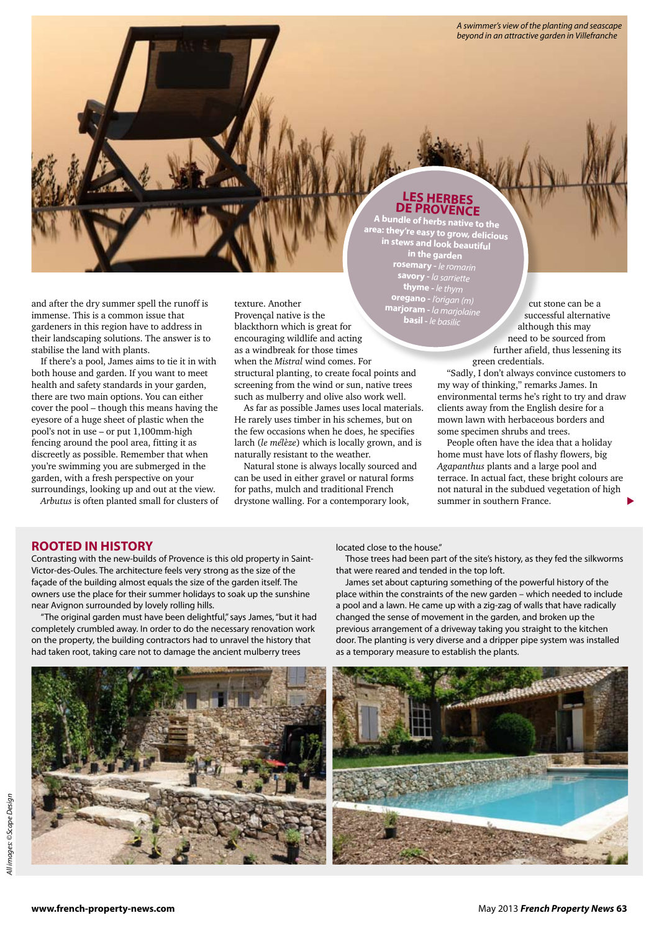*A swimmer's view of the planting and seascape beyond in an attractive garden in Villefranche*

and after the dry summer spell the runoff is immense. This is a common issue that gardeners in this region have to address in their landscaping solutions. The answer is to stabilise the land with plants.

If there's a pool, James aims to tie it in with both house and garden. If you want to meet health and safety standards in your garden, there are two main options. You can either cover the pool – though this means having the eyesore of a huge sheet of plastic when the pool's not in use – or put 1,100mm-high fencing around the pool area, fitting it as discreetly as possible. Remember that when you're swimming you are submerged in the garden, with a fresh perspective on your surroundings, looking up and out at the view.

*Arbutus* is often planted small for clusters of

texture. Another Provençal native is the blackthorn which is great for encouraging wildlife and acting as a windbreak for those times when the *Mistral* wind comes. For structural planting, to create focal points and screening from the wind or sun, native trees such as mulberry and olive also work well. **basil -** *le basilic*

As far as possible James uses local materials. He rarely uses timber in his schemes, but on the few occasions when he does, he specifies larch (*le mélèze*) which is locally grown, and is naturally resistant to the weather.

Natural stone is always locally sourced and can be used in either gravel or natural forms for paths, mulch and traditional French drystone walling. For a contemporary look,

## **LES HERBES DE PROVENCE A bundle of herbs native to the**

**area: they're easy to grow, delicious in stews and look beautiful in the garden rosemary -** *le romarin* **savory -** *la sarriette* **thyme -** *le thym* **oregano -** *l'origan (m)* **marjoram -** *la marjolaine*

cut stone can be a successful alternative although this may need to be sourced from further afield, thus lessening its green credentials.

"Sadly, I don't always convince customers to my way of thinking," remarks James. In environmental terms he's right to try and draw clients away from the English desire for a mown lawn with herbaceous borders and some specimen shrubs and trees.

People often have the idea that a holiday home must have lots of flashy flowers, big *Agapanthus* plants and a large pool and terrace. In actual fact, these bright colours are not natural in the subdued vegetation of high summer in southern France.

### **ROOTED IN HISTORY**

Contrasting with the new-builds of Provence is this old property in Saint-Victor-des-Oules. The architecture feels very strong as the size of the façade of the building almost equals the size of the garden itself. The owners use the place for their summer holidays to soak up the sunshine near Avignon surrounded by lovely rolling hills.

"The original garden must have been delightful," says James, "but it had completely crumbled away. In order to do the necessary renovation work on the property, the building contractors had to unravel the history that had taken root, taking care not to damage the ancient mulberry trees

located close to the house."

Those trees had been part of the site's history, as they fed the silkworms that were reared and tended in the top loft.

James set about capturing something of the powerful history of the place within the constraints of the new garden – which needed to include a pool and a lawn. He came up with a zig-zag of walls that have radically changed the sense of movement in the garden, and broken up the previous arrangement of a driveway taking you straight to the kitchen door. The planting is very diverse and a dripper pipe system was installed as a temporary measure to establish the plants.